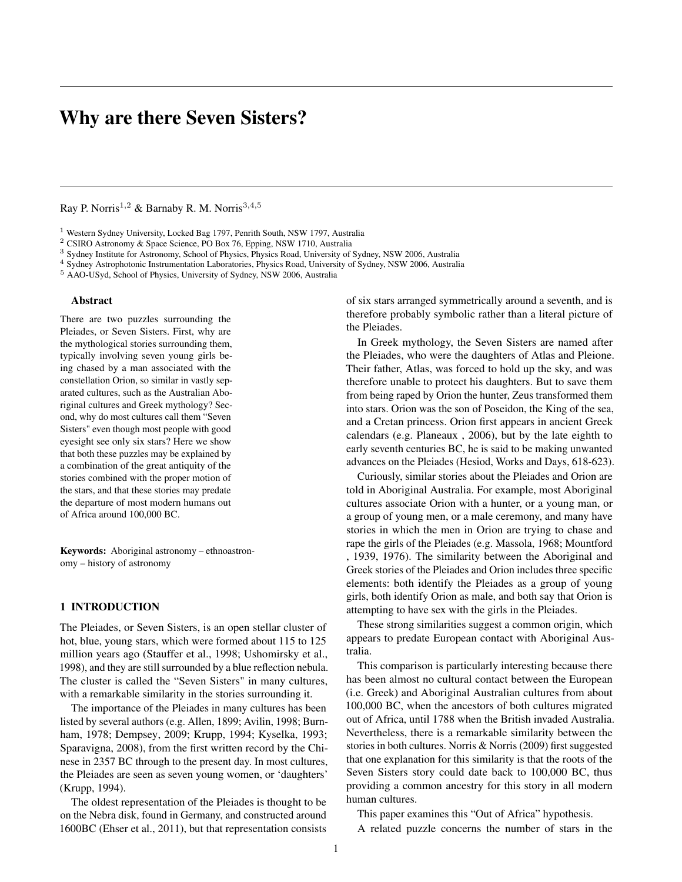# Why are there Seven Sisters?

Ray P. Norris1*,*<sup>2</sup> & Barnaby R. M. Norris3*,*4*,*<sup>5</sup>

<sup>1</sup> Western Sydney University, Locked Bag 1797, Penrith South, NSW 1797, Australia

<sup>2</sup> CSIRO Astronomy & Space Science, PO Box 76, Epping, NSW 1710, Australia

<sup>3</sup> Sydney Institute for Astronomy, School of Physics, Physics Road, University of Sydney, NSW 2006, Australia

<sup>4</sup> Sydney Astrophotonic Instrumentation Laboratories, Physics Road, University of Sydney, NSW 2006, Australia

<sup>5</sup> AAO-USyd, School of Physics, University of Sydney, NSW 2006, Australia

#### Abstract

There are two puzzles surrounding the Pleiades, or Seven Sisters. First, why are the mythological stories surrounding them, typically involving seven young girls being chased by a man associated with the constellation Orion, so similar in vastly separated cultures, such as the Australian Aboriginal cultures and Greek mythology? Second, why do most cultures call them "Seven Sisters" even though most people with good eyesight see only six stars? Here we show that both these puzzles may be explained by a combination of the great antiquity of the stories combined with the proper motion of the stars, and that these stories may predate the departure of most modern humans out of Africa around 100,000 BC.

Keywords: Aboriginal astronomy – ethnoastronomy – history of astronomy

# 1 INTRODUCTION

The Pleiades, or Seven Sisters, is an open stellar cluster of hot, blue, young stars, which were formed about 115 to 125 million years ago (Stauffer et al., 1998; Ushomirsky et al., 1998), and they are still surrounded by a blue reflection nebula. The cluster is called the "Seven Sisters" in many cultures, with a remarkable similarity in the stories surrounding it.

The importance of the Pleiades in many cultures has been listed by several authors (e.g. Allen, 1899; Avilin, 1998; Burnham, 1978; Dempsey, 2009; Krupp, 1994; Kyselka, 1993; Sparavigna, 2008), from the first written record by the Chinese in 2357 BC through to the present day. In most cultures, the Pleiades are seen as seven young women, or 'daughters' (Krupp, 1994).

The oldest representation of the Pleiades is thought to be on the Nebra disk, found in Germany, and constructed around 1600BC (Ehser et al., 2011), but that representation consists of six stars arranged symmetrically around a seventh, and is therefore probably symbolic rather than a literal picture of the Pleiades.

In Greek mythology, the Seven Sisters are named after the Pleiades, who were the daughters of Atlas and Pleione. Their father, Atlas, was forced to hold up the sky, and was therefore unable to protect his daughters. But to save them from being raped by Orion the hunter, Zeus transformed them into stars. Orion was the son of Poseidon, the King of the sea, and a Cretan princess. Orion first appears in ancient Greek calendars (e.g. Planeaux , 2006), but by the late eighth to early seventh centuries BC, he is said to be making unwanted advances on the Pleiades (Hesiod, Works and Days, 618-623).

Curiously, similar stories about the Pleiades and Orion are told in Aboriginal Australia. For example, most Aboriginal cultures associate Orion with a hunter, or a young man, or a group of young men, or a male ceremony, and many have stories in which the men in Orion are trying to chase and rape the girls of the Pleiades (e.g. Massola, 1968; Mountford , 1939, 1976). The similarity between the Aboriginal and Greek stories of the Pleiades and Orion includes three specific elements: both identify the Pleiades as a group of young girls, both identify Orion as male, and both say that Orion is attempting to have sex with the girls in the Pleiades.

These strong similarities suggest a common origin, which appears to predate European contact with Aboriginal Australia.

This comparison is particularly interesting because there has been almost no cultural contact between the European (i.e. Greek) and Aboriginal Australian cultures from about 100,000 BC, when the ancestors of both cultures migrated out of Africa, until 1788 when the British invaded Australia. Nevertheless, there is a remarkable similarity between the stories in both cultures. Norris & Norris (2009) first suggested that one explanation for this similarity is that the roots of the Seven Sisters story could date back to 100,000 BC, thus providing a common ancestry for this story in all modern human cultures.

This paper examines this "Out of Africa" hypothesis. A related puzzle concerns the number of stars in the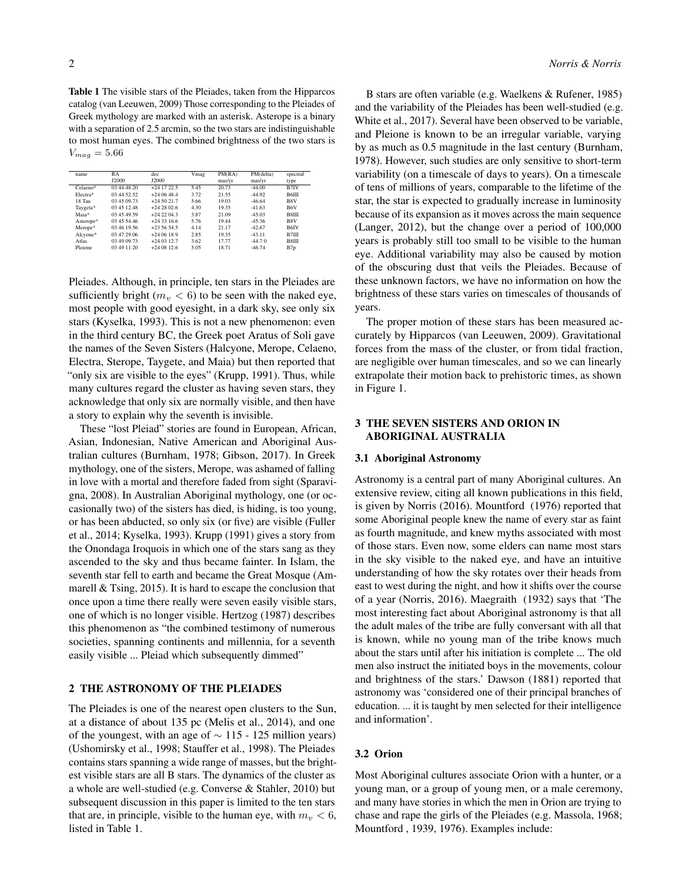Table 1 The visible stars of the Pleiades, taken from the Hipparcos catalog (van Leeuwen, 2009) Those corresponding to the Pleiades of Greek mythology are marked with an asterisk. Asterope is a binary with a separation of 2.5 arcmin, so the two stars are indistinguishable to most human eyes. The combined brightness of the two stars is  $V_{mag} = 5.66$ 

| name      | RA<br>J2000 | dec<br><b>J2000</b> | Vmag | PM(RA)<br>mas/yr | PM(delta)<br>mas/yr | spectral<br>type  |
|-----------|-------------|---------------------|------|------------------|---------------------|-------------------|
|           |             |                     |      |                  |                     |                   |
| Electra*  | 03 44 52.52 | $+240648.4$         | 3.72 | 21.55            | $-44.92$            | B6III             |
| 18 Tau    | 03 45 09 73 | $+245021.7$         | 5.66 | 19.03            | $-46.64$            | B8V               |
| Taygeta*  | 03 45 12 48 | $+2428026$          | 4.30 | 19.35            | $-41.63$            | B <sub>6</sub> V  |
| Maia*     | 03 45 49.59 | $+2422043$          | 3.87 | 21.09            | $-45.03$            | <b>B</b> 8III     |
| Asterope* | 03 45 54 46 | $+2433166$          | 5.76 | 19.44            | $-45.36$            | B8V               |
| Merope*   | 03 46 19.56 | $+2356545$          | 4.14 | 21.17            | $-42.67$            | B <sub>6</sub> IV |
| Alcyone*  | 03 47 29.06 | $+24.0618.9$        | 2.85 | 19.35            | $-43.11$            | B7III             |
| Atlas     | 03 49 09.73 | $+24.0312.7$        | 3.62 | 17.77            | $-44.70$            | <b>B</b> 8III     |
| Pleione   | 03 49 11.20 | $+24.0812.6$        | 5.05 | 18.71            | $-46.74$            | B7p               |

Pleiades. Although, in principle, ten stars in the Pleiades are sufficiently bright ( $m_v < 6$ ) to be seen with the naked eye, most people with good eyesight, in a dark sky, see only six stars (Kyselka, 1993). This is not a new phenomenon: even in the third century BC, the Greek poet Aratus of Soli gave the names of the Seven Sisters (Halcyone, Merope, Celaeno, Electra, Sterope, Taygete, and Maia) but then reported that "only six are visible to the eyes" (Krupp, 1991). Thus, while many cultures regard the cluster as having seven stars, they acknowledge that only six are normally visible, and then have a story to explain why the seventh is invisible.

These "lost Pleiad" stories are found in European, African, Asian, Indonesian, Native American and Aboriginal Australian cultures (Burnham, 1978; Gibson, 2017). In Greek mythology, one of the sisters, Merope, was ashamed of falling in love with a mortal and therefore faded from sight (Sparavigna, 2008). In Australian Aboriginal mythology, one (or occasionally two) of the sisters has died, is hiding, is too young, or has been abducted, so only six (or five) are visible (Fuller et al., 2014; Kyselka, 1993). Krupp (1991) gives a story from the Onondaga Iroquois in which one of the stars sang as they ascended to the sky and thus became fainter. In Islam, the seventh star fell to earth and became the Great Mosque (Ammarell & Tsing, 2015). It is hard to escape the conclusion that once upon a time there really were seven easily visible stars, one of which is no longer visible. Hertzog (1987) describes this phenomenon as "the combined testimony of numerous societies, spanning continents and millennia, for a seventh easily visible ... Pleiad which subsequently dimmed"

#### 2 THE ASTRONOMY OF THE PLEIADES

The Pleiades is one of the nearest open clusters to the Sun, at a distance of about 135 pc (Melis et al., 2014), and one of the youngest, with an age of  $\sim$  115 - 125 million years) (Ushomirsky et al., 1998; Stauffer et al., 1998). The Pleiades contains stars spanning a wide range of masses, but the brightest visible stars are all B stars. The dynamics of the cluster as a whole are well-studied (e.g. Converse & Stahler, 2010) but subsequent discussion in this paper is limited to the ten stars that are, in principle, visible to the human eye, with  $m_v < 6$ , listed in Table 1.

B stars are often variable (e.g. Waelkens & Rufener, 1985) and the variability of the Pleiades has been well-studied (e.g. White et al., 2017). Several have been observed to be variable, and Pleione is known to be an irregular variable, varying by as much as 0.5 magnitude in the last century (Burnham, 1978). However, such studies are only sensitive to short-term variability (on a timescale of days to years). On a timescale of tens of millions of years, comparable to the lifetime of the star, the star is expected to gradually increase in luminosity because of its expansion as it moves across the main sequence (Langer, 2012), but the change over a period of 100,000 years is probably still too small to be visible to the human eye. Additional variability may also be caused by motion of the obscuring dust that veils the Pleiades. Because of these unknown factors, we have no information on how the brightness of these stars varies on timescales of thousands of years.

The proper motion of these stars has been measured accurately by Hipparcos (van Leeuwen, 2009). Gravitational forces from the mass of the cluster, or from tidal fraction, are negligible over human timescales, and so we can linearly extrapolate their motion back to prehistoric times, as shown in Figure 1.

# 3 THE SEVEN SISTERS AND ORION IN ABORIGINAL AUSTRALIA

#### 3.1 Aboriginal Astronomy

Astronomy is a central part of many Aboriginal cultures. An extensive review, citing all known publications in this field, is given by Norris (2016). Mountford (1976) reported that some Aboriginal people knew the name of every star as faint as fourth magnitude, and knew myths associated with most of those stars. Even now, some elders can name most stars in the sky visible to the naked eye, and have an intuitive understanding of how the sky rotates over their heads from east to west during the night, and how it shifts over the course of a year (Norris, 2016). Maegraith (1932) says that 'The most interesting fact about Aboriginal astronomy is that all the adult males of the tribe are fully conversant with all that is known, while no young man of the tribe knows much about the stars until after his initiation is complete ... The old men also instruct the initiated boys in the movements, colour and brightness of the stars.' Dawson (1881) reported that astronomy was 'considered one of their principal branches of education. ... it is taught by men selected for their intelligence and information'.

#### 3.2 Orion

Most Aboriginal cultures associate Orion with a hunter, or a young man, or a group of young men, or a male ceremony, and many have stories in which the men in Orion are trying to chase and rape the girls of the Pleiades (e.g. Massola, 1968; Mountford , 1939, 1976). Examples include: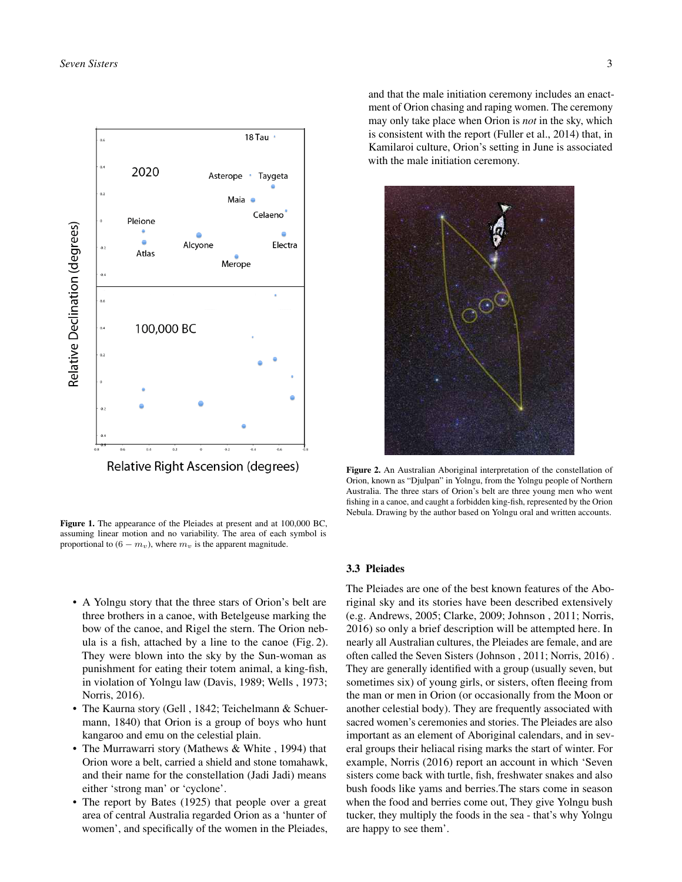

Figure 1. The appearance of the Pleiades at present and at 100,000 BC, assuming linear motion and no variability. The area of each symbol is proportional to  $(6 - m_v)$ , where  $m_v$  is the apparent magnitude.

- A Yolngu story that the three stars of Orion's belt are three brothers in a canoe, with Betelgeuse marking the bow of the canoe, and Rigel the stern. The Orion nebula is a fish, attached by a line to the canoe (Fig. 2). They were blown into the sky by the Sun-woman as punishment for eating their totem animal, a king-fish, in violation of Yolngu law (Davis, 1989; Wells , 1973; Norris, 2016).
- The Kaurna story (Gell , 1842; Teichelmann & Schuermann, 1840) that Orion is a group of boys who hunt kangaroo and emu on the celestial plain.
- The Murrawarri story (Mathews & White, 1994) that Orion wore a belt, carried a shield and stone tomahawk, and their name for the constellation (Jadi Jadi) means either 'strong man' or 'cyclone'.
- The report by Bates (1925) that people over a great area of central Australia regarded Orion as a 'hunter of women', and specifically of the women in the Pleiades,

and that the male initiation ceremony includes an enactment of Orion chasing and raping women. The ceremony may only take place when Orion is *not* in the sky, which is consistent with the report (Fuller et al., 2014) that, in Kamilaroi culture, Orion's setting in June is associated with the male initiation ceremony.



Figure 2. An Australian Aboriginal interpretation of the constellation of Orion, known as "Djulpan" in Yolngu, from the Yolngu people of Northern Australia. The three stars of Orion's belt are three young men who went fishing in a canoe, and caught a forbidden king-fish, represented by the Orion Nebula. Drawing by the author based on Yolngu oral and written accounts.

# 3.3 Pleiades

The Pleiades are one of the best known features of the Aboriginal sky and its stories have been described extensively (e.g. Andrews, 2005; Clarke, 2009; Johnson , 2011; Norris, 2016) so only a brief description will be attempted here. In nearly all Australian cultures, the Pleiades are female, and are often called the Seven Sisters (Johnson , 2011; Norris, 2016) . They are generally identified with a group (usually seven, but sometimes six) of young girls, or sisters, often fleeing from the man or men in Orion (or occasionally from the Moon or another celestial body). They are frequently associated with sacred women's ceremonies and stories. The Pleiades are also important as an element of Aboriginal calendars, and in several groups their heliacal rising marks the start of winter. For example, Norris (2016) report an account in which 'Seven sisters come back with turtle, fish, freshwater snakes and also bush foods like yams and berries.The stars come in season when the food and berries come out, They give Yolngu bush tucker, they multiply the foods in the sea - that's why Yolngu are happy to see them'.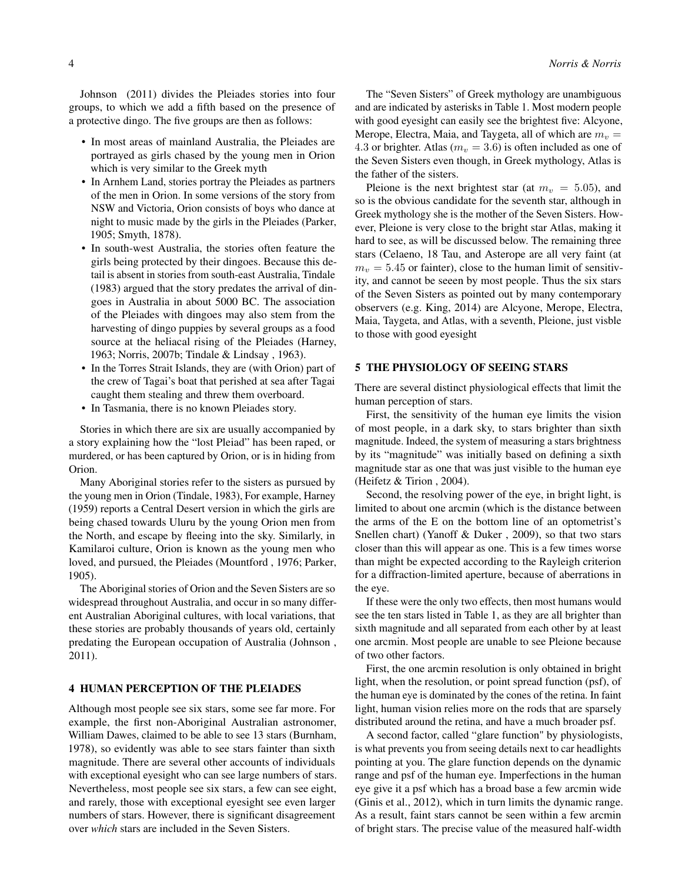Johnson (2011) divides the Pleiades stories into four groups, to which we add a fifth based on the presence of a protective dingo. The five groups are then as follows:

- In most areas of mainland Australia, the Pleiades are portrayed as girls chased by the young men in Orion which is very similar to the Greek myth
- In Arnhem Land, stories portray the Pleiades as partners of the men in Orion. In some versions of the story from NSW and Victoria, Orion consists of boys who dance at night to music made by the girls in the Pleiades (Parker, 1905; Smyth, 1878).
- In south-west Australia, the stories often feature the girls being protected by their dingoes. Because this detail is absent in stories from south-east Australia, Tindale (1983) argued that the story predates the arrival of dingoes in Australia in about 5000 BC. The association of the Pleiades with dingoes may also stem from the harvesting of dingo puppies by several groups as a food source at the heliacal rising of the Pleiades (Harney, 1963; Norris, 2007b; Tindale & Lindsay , 1963).
- In the Torres Strait Islands, they are (with Orion) part of the crew of Tagai's boat that perished at sea after Tagai caught them stealing and threw them overboard.
- In Tasmania, there is no known Pleiades story.

Stories in which there are six are usually accompanied by a story explaining how the "lost Pleiad" has been raped, or murdered, or has been captured by Orion, or is in hiding from Orion.

Many Aboriginal stories refer to the sisters as pursued by the young men in Orion (Tindale, 1983), For example, Harney (1959) reports a Central Desert version in which the girls are being chased towards Uluru by the young Orion men from the North, and escape by fleeing into the sky. Similarly, in Kamilaroi culture, Orion is known as the young men who loved, and pursued, the Pleiades (Mountford , 1976; Parker, 1905).

The Aboriginal stories of Orion and the Seven Sisters are so widespread throughout Australia, and occur in so many different Australian Aboriginal cultures, with local variations, that these stories are probably thousands of years old, certainly predating the European occupation of Australia (Johnson , 2011).

### 4 HUMAN PERCEPTION OF THE PLEIADES

Although most people see six stars, some see far more. For example, the first non-Aboriginal Australian astronomer, William Dawes, claimed to be able to see 13 stars (Burnham, 1978), so evidently was able to see stars fainter than sixth magnitude. There are several other accounts of individuals with exceptional eyesight who can see large numbers of stars. Nevertheless, most people see six stars, a few can see eight, and rarely, those with exceptional eyesight see even larger numbers of stars. However, there is significant disagreement over *which* stars are included in the Seven Sisters.

The "Seven Sisters" of Greek mythology are unambiguous and are indicated by asterisks in Table 1. Most modern people with good eyesight can easily see the brightest five: Alcyone, Merope, Electra, Maia, and Taygeta, all of which are  $m_v =$ 4.3 or brighter. Atlas ( $m_v = 3.6$ ) is often included as one of the Seven Sisters even though, in Greek mythology, Atlas is the father of the sisters.

Pleione is the next brightest star (at  $m_v = 5.05$ ), and so is the obvious candidate for the seventh star, although in Greek mythology she is the mother of the Seven Sisters. However, Pleione is very close to the bright star Atlas, making it hard to see, as will be discussed below. The remaining three stars (Celaeno, 18 Tau, and Asterope are all very faint (at  $m_v = 5.45$  or fainter), close to the human limit of sensitivity, and cannot be seeen by most people. Thus the six stars of the Seven Sisters as pointed out by many contemporary observers (e.g. King, 2014) are Alcyone, Merope, Electra, Maia, Taygeta, and Atlas, with a seventh, Pleione, just visble to those with good eyesight

## 5 THE PHYSIOLOGY OF SEEING STARS

There are several distinct physiological effects that limit the human perception of stars.

First, the sensitivity of the human eye limits the vision of most people, in a dark sky, to stars brighter than sixth magnitude. Indeed, the system of measuring a stars brightness by its "magnitude" was initially based on defining a sixth magnitude star as one that was just visible to the human eye (Heifetz & Tirion , 2004).

Second, the resolving power of the eye, in bright light, is limited to about one arcmin (which is the distance between the arms of the E on the bottom line of an optometrist's Snellen chart) (Yanoff & Duker , 2009), so that two stars closer than this will appear as one. This is a few times worse than might be expected according to the Rayleigh criterion for a diffraction-limited aperture, because of aberrations in the eye.

If these were the only two effects, then most humans would see the ten stars listed in Table 1, as they are all brighter than sixth magnitude and all separated from each other by at least one arcmin. Most people are unable to see Pleione because of two other factors.

First, the one arcmin resolution is only obtained in bright light, when the resolution, or point spread function (psf), of the human eye is dominated by the cones of the retina. In faint light, human vision relies more on the rods that are sparsely distributed around the retina, and have a much broader psf.

A second factor, called "glare function" by physiologists, is what prevents you from seeing details next to car headlights pointing at you. The glare function depends on the dynamic range and psf of the human eye. Imperfections in the human eye give it a psf which has a broad base a few arcmin wide (Ginis et al., 2012), which in turn limits the dynamic range. As a result, faint stars cannot be seen within a few arcmin of bright stars. The precise value of the measured half-width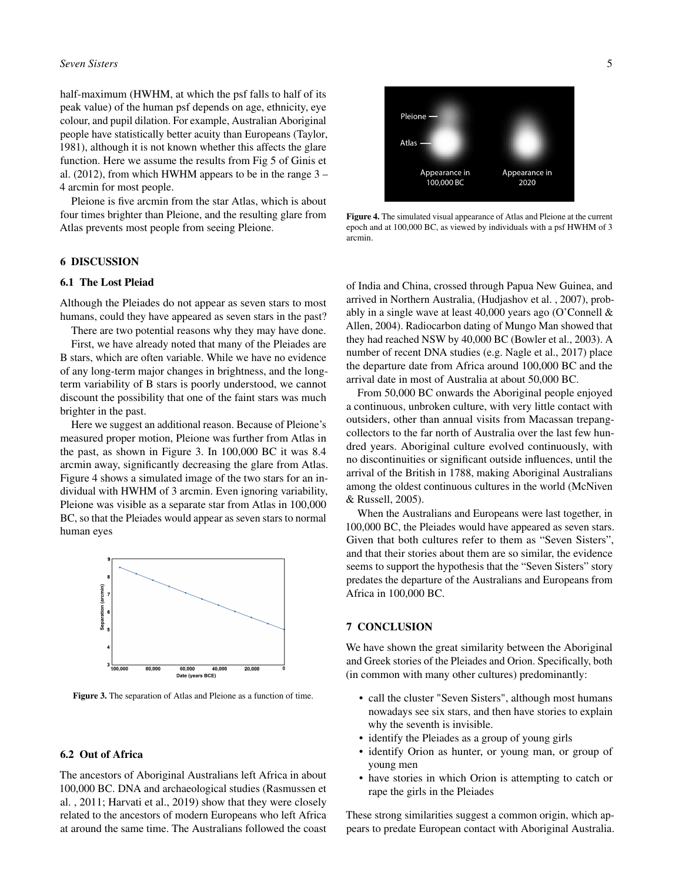#### *Seven Sisters* 5

half-maximum (HWHM, at which the psf falls to half of its peak value) of the human psf depends on age, ethnicity, eye colour, and pupil dilation. For example, Australian Aboriginal people have statistically better acuity than Europeans (Taylor, 1981), although it is not known whether this affects the glare function. Here we assume the results from Fig 5 of Ginis et al. (2012), from which HWHM appears to be in the range 3 – 4 arcmin for most people.

Pleione is five arcmin from the star Atlas, which is about four times brighter than Pleione, and the resulting glare from Atlas prevents most people from seeing Pleione.

## 6 DISCUSSION

## 6.1 The Lost Pleiad

Although the Pleiades do not appear as seven stars to most humans, could they have appeared as seven stars in the past?

There are two potential reasons why they may have done.

First, we have already noted that many of the Pleiades are B stars, which are often variable. While we have no evidence of any long-term major changes in brightness, and the longterm variability of B stars is poorly understood, we cannot discount the possibility that one of the faint stars was much brighter in the past.

Here we suggest an additional reason. Because of Pleione's measured proper motion, Pleione was further from Atlas in the past, as shown in Figure 3. In 100,000 BC it was 8.4 arcmin away, significantly decreasing the glare from Atlas. Figure 4 shows a simulated image of the two stars for an individual with HWHM of 3 arcmin. Even ignoring variability, Pleione was visible as a separate star from Atlas in 100,000 BC, so that the Pleiades would appear as seven stars to normal human eyes



Figure 3. The separation of Atlas and Pleione as a function of time.

### 6.2 Out of Africa

The ancestors of Aboriginal Australians left Africa in about 100,000 BC. DNA and archaeological studies (Rasmussen et al. , 2011; Harvati et al., 2019) show that they were closely related to the ancestors of modern Europeans who left Africa at around the same time. The Australians followed the coast



Figure 4. The simulated visual appearance of Atlas and Pleione at the current epoch and at 100,000 BC, as viewed by individuals with a psf HWHM of 3 arcmin.

of India and China, crossed through Papua New Guinea, and arrived in Northern Australia, (Hudjashov et al. , 2007), probably in a single wave at least 40,000 years ago (O'Connell & Allen, 2004). Radiocarbon dating of Mungo Man showed that they had reached NSW by 40,000 BC (Bowler et al., 2003). A number of recent DNA studies (e.g. Nagle et al., 2017) place the departure date from Africa around 100,000 BC and the arrival date in most of Australia at about 50,000 BC.

From 50,000 BC onwards the Aboriginal people enjoyed a continuous, unbroken culture, with very little contact with outsiders, other than annual visits from Macassan trepangcollectors to the far north of Australia over the last few hundred years. Aboriginal culture evolved continuously, with no discontinuities or significant outside influences, until the arrival of the British in 1788, making Aboriginal Australians among the oldest continuous cultures in the world (McNiven & Russell, 2005).

When the Australians and Europeans were last together, in 100,000 BC, the Pleiades would have appeared as seven stars. Given that both cultures refer to them as "Seven Sisters", and that their stories about them are so similar, the evidence seems to support the hypothesis that the "Seven Sisters" story predates the departure of the Australians and Europeans from Africa in 100,000 BC.

## 7 CONCLUSION

We have shown the great similarity between the Aboriginal and Greek stories of the Pleiades and Orion. Specifically, both (in common with many other cultures) predominantly:

- call the cluster "Seven Sisters", although most humans nowadays see six stars, and then have stories to explain why the seventh is invisible.
- identify the Pleiades as a group of young girls
- identify Orion as hunter, or young man, or group of young men
- have stories in which Orion is attempting to catch or rape the girls in the Pleiades

These strong similarities suggest a common origin, which appears to predate European contact with Aboriginal Australia.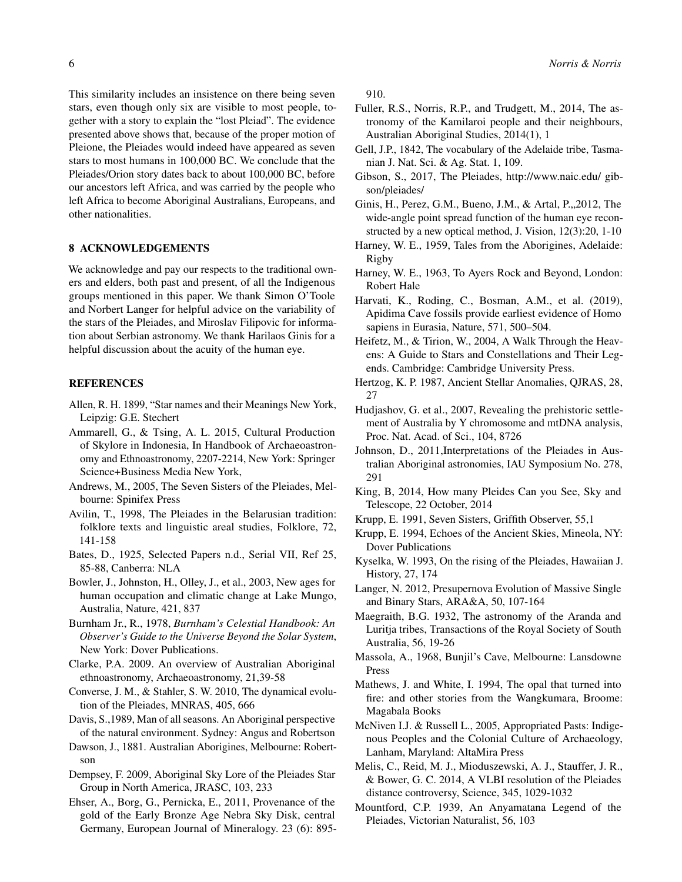This similarity includes an insistence on there being seven stars, even though only six are visible to most people, together with a story to explain the "lost Pleiad". The evidence presented above shows that, because of the proper motion of Pleione, the Pleiades would indeed have appeared as seven stars to most humans in 100,000 BC. We conclude that the Pleiades/Orion story dates back to about 100,000 BC, before our ancestors left Africa, and was carried by the people who left Africa to become Aboriginal Australians, Europeans, and other nationalities.

# 8 ACKNOWLEDGEMENTS

We acknowledge and pay our respects to the traditional owners and elders, both past and present, of all the Indigenous groups mentioned in this paper. We thank Simon O'Toole and Norbert Langer for helpful advice on the variability of the stars of the Pleiades, and Miroslav Filipovic for information about Serbian astronomy. We thank Harilaos Ginis for a helpful discussion about the acuity of the human eye.

## REFERENCES

- Allen, R. H. 1899, "Star names and their Meanings New York, Leipzig: G.E. Stechert
- Ammarell, G., & Tsing, A. L. 2015, Cultural Production of Skylore in Indonesia, In Handbook of Archaeoastronomy and Ethnoastronomy, 2207-2214, New York: Springer Science+Business Media New York,
- Andrews, M., 2005, The Seven Sisters of the Pleiades, Melbourne: Spinifex Press
- Avilin, T., 1998, The Pleiades in the Belarusian tradition: folklore texts and linguistic areal studies, Folklore, 72, 141-158
- Bates, D., 1925, Selected Papers n.d., Serial VII, Ref 25, 85-88, Canberra: NLA
- Bowler, J., Johnston, H., Olley, J., et al., 2003, New ages for human occupation and climatic change at Lake Mungo, Australia, Nature, 421, 837
- Burnham Jr., R., 1978, *Burnham's Celestial Handbook: An Observer's Guide to the Universe Beyond the Solar System*, New York: Dover Publications.
- Clarke, P.A. 2009. An overview of Australian Aboriginal ethnoastronomy, Archaeoastronomy, 21,39-58
- Converse, J. M., & Stahler, S. W. 2010, The dynamical evolution of the Pleiades, MNRAS, 405, 666
- Davis, S.,1989, Man of all seasons. An Aboriginal perspective of the natural environment. Sydney: Angus and Robertson
- Dawson, J., 1881. Australian Aborigines, Melbourne: Robertson
- Dempsey, F. 2009, Aboriginal Sky Lore of the Pleiades Star Group in North America, JRASC, 103, 233
- Ehser, A., Borg, G., Pernicka, E., 2011, Provenance of the gold of the Early Bronze Age Nebra Sky Disk, central Germany, European Journal of Mineralogy. 23 (6): 895-

910.

- Fuller, R.S., Norris, R.P., and Trudgett, M., 2014, The astronomy of the Kamilaroi people and their neighbours, Australian Aboriginal Studies, 2014(1), 1
- Gell, J.P., 1842, The vocabulary of the Adelaide tribe, Tasmanian J. Nat. Sci. & Ag. Stat. 1, 109.
- Gibson, S., 2017, The Pleiades, http://www.naic.edu/ gibson/pleiades/
- Ginis, H., Perez, G.M., Bueno, J.M., & Artal, P., 2012, The wide-angle point spread function of the human eye reconstructed by a new optical method, J. Vision, 12(3):20, 1-10
- Harney, W. E., 1959, Tales from the Aborigines, Adelaide: Rigby
- Harney, W. E., 1963, To Ayers Rock and Beyond, London: Robert Hale
- Harvati, K., Roding, C., Bosman, A.M., et al. (2019), Apidima Cave fossils provide earliest evidence of Homo sapiens in Eurasia, Nature, 571, 500–504.
- Heifetz, M., & Tirion, W., 2004, A Walk Through the Heavens: A Guide to Stars and Constellations and Their Legends. Cambridge: Cambridge University Press.
- Hertzog, K. P. 1987, Ancient Stellar Anomalies, QJRAS, 28, 27
- Hudjashov, G. et al., 2007, Revealing the prehistoric settlement of Australia by Y chromosome and mtDNA analysis, Proc. Nat. Acad. of Sci., 104, 8726
- Johnson, D., 2011,Interpretations of the Pleiades in Australian Aboriginal astronomies, IAU Symposium No. 278, 291
- King, B, 2014, How many Pleides Can you See, Sky and Telescope, 22 October, 2014
- Krupp, E. 1991, Seven Sisters, Griffith Observer, 55,1
- Krupp, E. 1994, Echoes of the Ancient Skies, Mineola, NY: Dover Publications
- Kyselka, W. 1993, On the rising of the Pleiades, Hawaiian J. History, 27, 174
- Langer, N. 2012, Presupernova Evolution of Massive Single and Binary Stars, ARA&A, 50, 107-164
- Maegraith, B.G. 1932, The astronomy of the Aranda and Luritja tribes, Transactions of the Royal Society of South Australia, 56, 19-26
- Massola, A., 1968, Bunjil's Cave, Melbourne: Lansdowne Press
- Mathews, J. and White, I. 1994, The opal that turned into fire: and other stories from the Wangkumara, Broome: Magabala Books
- McNiven I.J. & Russell L., 2005, Appropriated Pasts: Indigenous Peoples and the Colonial Culture of Archaeology, Lanham, Maryland: AltaMira Press
- Melis, C., Reid, M. J., Mioduszewski, A. J., Stauffer, J. R., & Bower, G. C. 2014, A VLBI resolution of the Pleiades distance controversy, Science, 345, 1029-1032
- Mountford, C.P. 1939, An Anyamatana Legend of the Pleiades, Victorian Naturalist, 56, 103